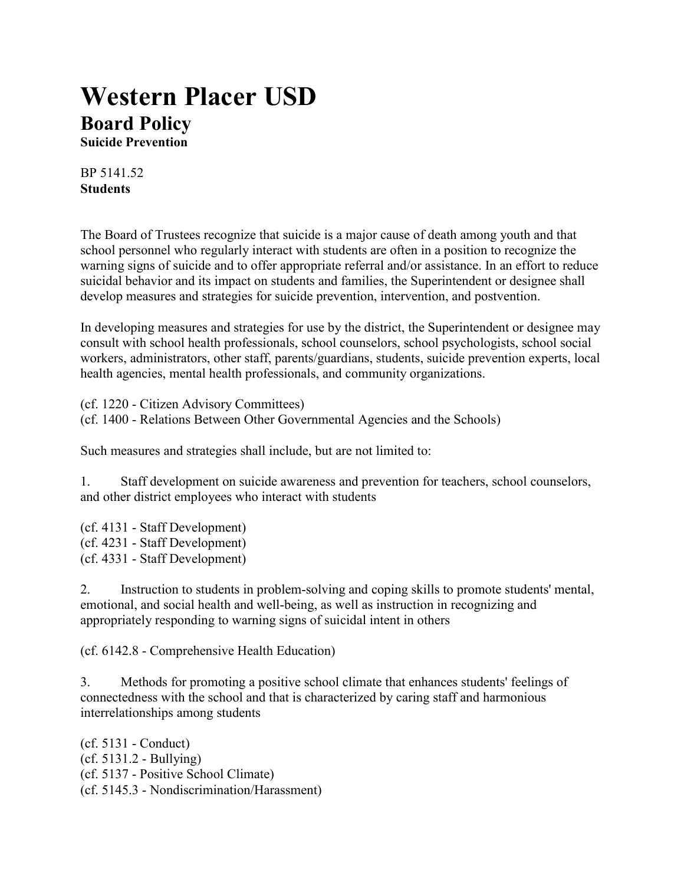# **Western Placer USD Board Policy**

**Suicide Prevention**

BP 5141.52 **Students**

The Board of Trustees recognize that suicide is a major cause of death among youth and that school personnel who regularly interact with students are often in a position to recognize the warning signs of suicide and to offer appropriate referral and/or assistance. In an effort to reduce suicidal behavior and its impact on students and families, the Superintendent or designee shall develop measures and strategies for suicide prevention, intervention, and postvention.

In developing measures and strategies for use by the district, the Superintendent or designee may consult with school health professionals, school counselors, school psychologists, school social workers, administrators, other staff, parents/guardians, students, suicide prevention experts, local health agencies, mental health professionals, and community organizations.

(cf. 1220 - Citizen Advisory Committees) (cf. 1400 - Relations Between Other Governmental Agencies and the Schools)

Such measures and strategies shall include, but are not limited to:

1. Staff development on suicide awareness and prevention for teachers, school counselors, and other district employees who interact with students

(cf. 4131 - Staff Development) (cf. 4231 - Staff Development) (cf. 4331 - Staff Development)

2. Instruction to students in problem-solving and coping skills to promote students' mental, emotional, and social health and well-being, as well as instruction in recognizing and appropriately responding to warning signs of suicidal intent in others

(cf. 6142.8 - Comprehensive Health Education)

3. Methods for promoting a positive school climate that enhances students' feelings of connectedness with the school and that is characterized by caring staff and harmonious interrelationships among students

(cf. 5131 - Conduct) (cf. 5131.2 - Bullying) (cf. 5137 - Positive School Climate) (cf. 5145.3 - Nondiscrimination/Harassment)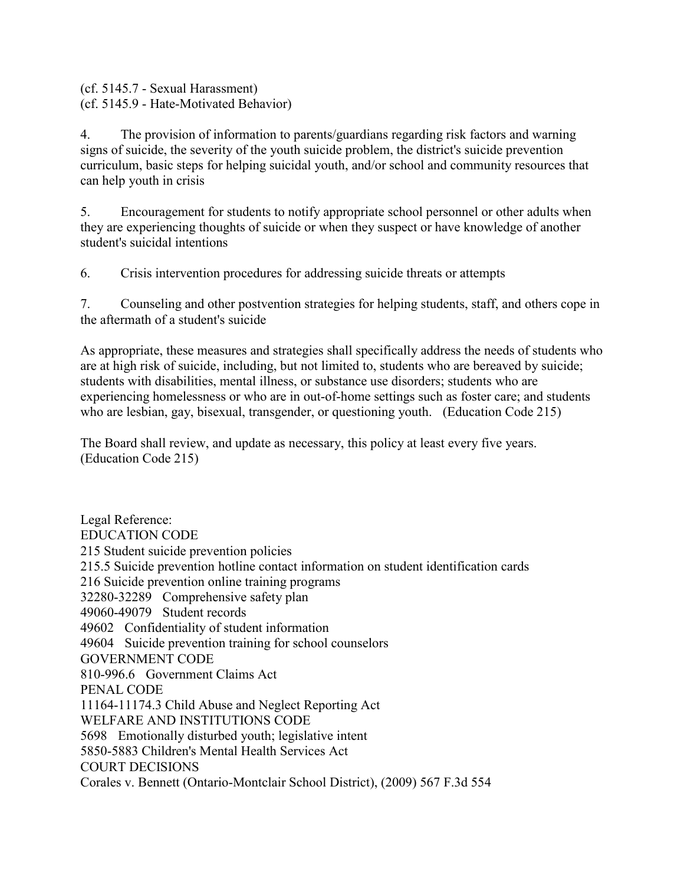(cf. 5145.7 - Sexual Harassment) (cf. 5145.9 - Hate-Motivated Behavior)

4. The provision of information to parents/guardians regarding risk factors and warning signs of suicide, the severity of the youth suicide problem, the district's suicide prevention curriculum, basic steps for helping suicidal youth, and/or school and community resources that can help youth in crisis

5. Encouragement for students to notify appropriate school personnel or other adults when they are experiencing thoughts of suicide or when they suspect or have knowledge of another student's suicidal intentions

6. Crisis intervention procedures for addressing suicide threats or attempts

7. Counseling and other postvention strategies for helping students, staff, and others cope in the aftermath of a student's suicide

As appropriate, these measures and strategies shall specifically address the needs of students who are at high risk of suicide, including, but not limited to, students who are bereaved by suicide; students with disabilities, mental illness, or substance use disorders; students who are experiencing homelessness or who are in out-of-home settings such as foster care; and students who are lesbian, gay, bisexual, transgender, or questioning youth. (Education Code 215)

The Board shall review, and update as necessary, this policy at least every five years. (Education Code 215)

Legal Reference: EDUCATION CODE 215 Student suicide prevention policies 215.5 Suicide prevention hotline contact information on student identification cards 216 Suicide prevention online training programs 32280-32289 Comprehensive safety plan 49060-49079 Student records 49602 Confidentiality of student information 49604 Suicide prevention training for school counselors GOVERNMENT CODE 810-996.6 Government Claims Act PENAL CODE 11164-11174.3 Child Abuse and Neglect Reporting Act WELFARE AND INSTITUTIONS CODE 5698 Emotionally disturbed youth; legislative intent 5850-5883 Children's Mental Health Services Act COURT DECISIONS Corales v. Bennett (Ontario-Montclair School District), (2009) 567 F.3d 554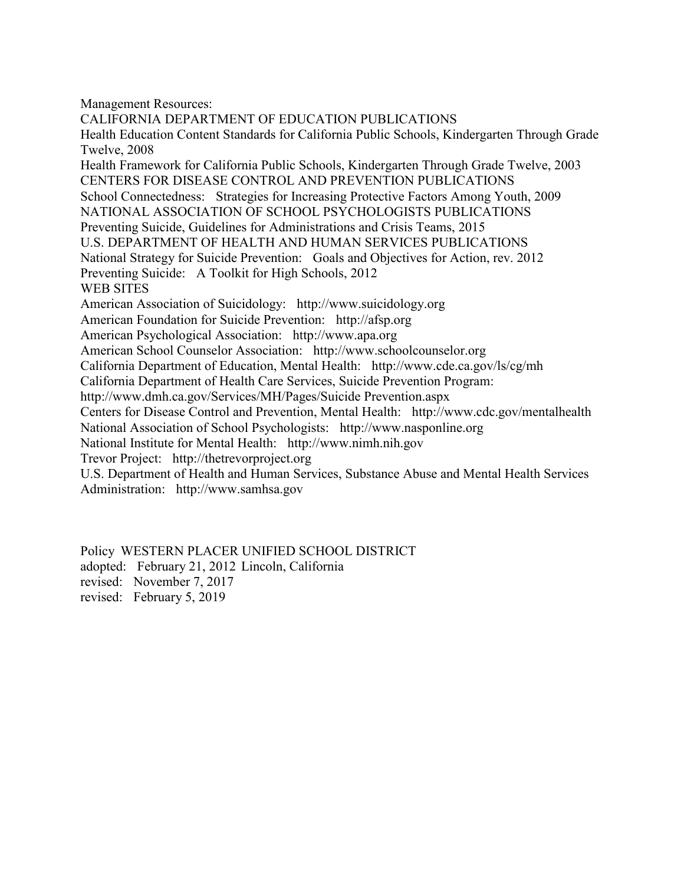Management Resources:

CALIFORNIA DEPARTMENT OF EDUCATION PUBLICATIONS Health Education Content Standards for California Public Schools, Kindergarten Through Grade Twelve, 2008 Health Framework for California Public Schools, Kindergarten Through Grade Twelve, 2003 CENTERS FOR DISEASE CONTROL AND PREVENTION PUBLICATIONS School Connectedness: Strategies for Increasing Protective Factors Among Youth, 2009 NATIONAL ASSOCIATION OF SCHOOL PSYCHOLOGISTS PUBLICATIONS Preventing Suicide, Guidelines for Administrations and Crisis Teams, 2015 U.S. DEPARTMENT OF HEALTH AND HUMAN SERVICES PUBLICATIONS National Strategy for Suicide Prevention: Goals and Objectives for Action, rev. 2012 Preventing Suicide: A Toolkit for High Schools, 2012 WEB SITES American Association of Suicidology: http://www.suicidology.org American Foundation for Suicide Prevention: http://afsp.org American Psychological Association: http://www.apa.org American School Counselor Association: http://www.schoolcounselor.org California Department of Education, Mental Health: http://www.cde.ca.gov/ls/cg/mh California Department of Health Care Services, Suicide Prevention Program: http://www.dmh.ca.gov/Services/MH/Pages/Suicide Prevention.aspx Centers for Disease Control and Prevention, Mental Health: http://www.cdc.gov/mentalhealth National Association of School Psychologists: http://www.nasponline.org National Institute for Mental Health: http://www.nimh.nih.gov Trevor Project: http://thetrevorproject.org U.S. Department of Health and Human Services, Substance Abuse and Mental Health Services Administration: http://www.samhsa.gov

Policy WESTERN PLACER UNIFIED SCHOOL DISTRICT adopted: February 21, 2012 Lincoln, California

revised: November 7, 2017

revised: February 5, 2019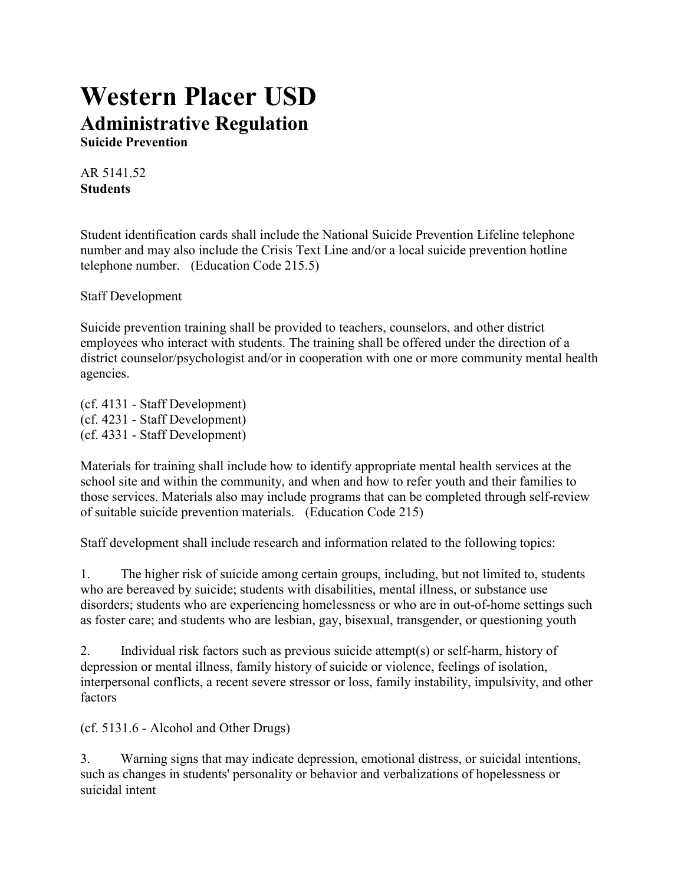# **Western Placer USD Administrative Regulation Suicide Prevention**

AR 5141.52 **Students**

Student identification cards shall include the National Suicide Prevention Lifeline telephone number and may also include the Crisis Text Line and/or a local suicide prevention hotline telephone number. (Education Code 215.5)

Staff Development

Suicide prevention training shall be provided to teachers, counselors, and other district employees who interact with students. The training shall be offered under the direction of a district counselor/psychologist and/or in cooperation with one or more community mental health agencies.

(cf. 4131 - Staff Development) (cf. 4231 - Staff Development) (cf. 4331 - Staff Development)

Materials for training shall include how to identify appropriate mental health services at the school site and within the community, and when and how to refer youth and their families to those services. Materials also may include programs that can be completed through self-review of suitable suicide prevention materials. (Education Code 215)

Staff development shall include research and information related to the following topics:

1. The higher risk of suicide among certain groups, including, but not limited to, students who are bereaved by suicide; students with disabilities, mental illness, or substance use disorders; students who are experiencing homelessness or who are in out-of-home settings such as foster care; and students who are lesbian, gay, bisexual, transgender, or questioning youth

2. Individual risk factors such as previous suicide attempt(s) or self-harm, history of depression or mental illness, family history of suicide or violence, feelings of isolation, interpersonal conflicts, a recent severe stressor or loss, family instability, impulsivity, and other factors

(cf. 5131.6 - Alcohol and Other Drugs)

3. Warning signs that may indicate depression, emotional distress, or suicidal intentions, such as changes in students' personality or behavior and verbalizations of hopelessness or suicidal intent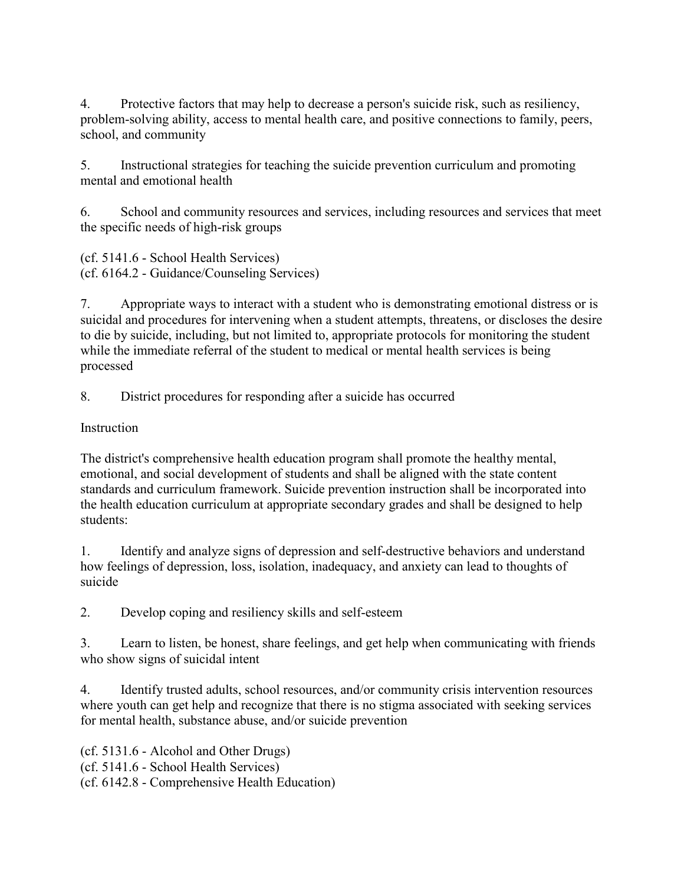4. Protective factors that may help to decrease a person's suicide risk, such as resiliency, problem-solving ability, access to mental health care, and positive connections to family, peers, school, and community

5. Instructional strategies for teaching the suicide prevention curriculum and promoting mental and emotional health

6. School and community resources and services, including resources and services that meet the specific needs of high-risk groups

(cf. 5141.6 - School Health Services) (cf. 6164.2 - Guidance/Counseling Services)

7. Appropriate ways to interact with a student who is demonstrating emotional distress or is suicidal and procedures for intervening when a student attempts, threatens, or discloses the desire to die by suicide, including, but not limited to, appropriate protocols for monitoring the student while the immediate referral of the student to medical or mental health services is being processed

8. District procedures for responding after a suicide has occurred

**Instruction** 

The district's comprehensive health education program shall promote the healthy mental, emotional, and social development of students and shall be aligned with the state content standards and curriculum framework. Suicide prevention instruction shall be incorporated into the health education curriculum at appropriate secondary grades and shall be designed to help students:

1. Identify and analyze signs of depression and self-destructive behaviors and understand how feelings of depression, loss, isolation, inadequacy, and anxiety can lead to thoughts of suicide

2. Develop coping and resiliency skills and self-esteem

3. Learn to listen, be honest, share feelings, and get help when communicating with friends who show signs of suicidal intent

4. Identify trusted adults, school resources, and/or community crisis intervention resources where youth can get help and recognize that there is no stigma associated with seeking services for mental health, substance abuse, and/or suicide prevention

(cf. 5131.6 - Alcohol and Other Drugs) (cf. 5141.6 - School Health Services) (cf. 6142.8 - Comprehensive Health Education)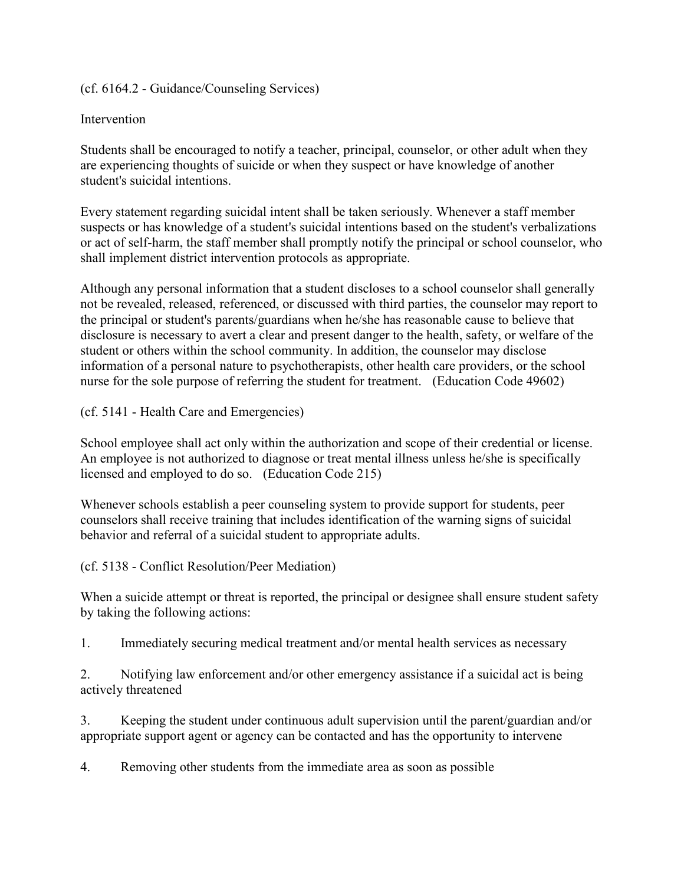(cf. 6164.2 - Guidance/Counseling Services)

#### **Intervention**

Students shall be encouraged to notify a teacher, principal, counselor, or other adult when they are experiencing thoughts of suicide or when they suspect or have knowledge of another student's suicidal intentions.

Every statement regarding suicidal intent shall be taken seriously. Whenever a staff member suspects or has knowledge of a student's suicidal intentions based on the student's verbalizations or act of self-harm, the staff member shall promptly notify the principal or school counselor, who shall implement district intervention protocols as appropriate.

Although any personal information that a student discloses to a school counselor shall generally not be revealed, released, referenced, or discussed with third parties, the counselor may report to the principal or student's parents/guardians when he/she has reasonable cause to believe that disclosure is necessary to avert a clear and present danger to the health, safety, or welfare of the student or others within the school community. In addition, the counselor may disclose information of a personal nature to psychotherapists, other health care providers, or the school nurse for the sole purpose of referring the student for treatment. (Education Code 49602)

(cf. 5141 - Health Care and Emergencies)

School employee shall act only within the authorization and scope of their credential or license. An employee is not authorized to diagnose or treat mental illness unless he/she is specifically licensed and employed to do so. (Education Code 215)

Whenever schools establish a peer counseling system to provide support for students, peer counselors shall receive training that includes identification of the warning signs of suicidal behavior and referral of a suicidal student to appropriate adults.

(cf. 5138 - Conflict Resolution/Peer Mediation)

When a suicide attempt or threat is reported, the principal or designee shall ensure student safety by taking the following actions:

1. Immediately securing medical treatment and/or mental health services as necessary

2. Notifying law enforcement and/or other emergency assistance if a suicidal act is being actively threatened

3. Keeping the student under continuous adult supervision until the parent/guardian and/or appropriate support agent or agency can be contacted and has the opportunity to intervene

4. Removing other students from the immediate area as soon as possible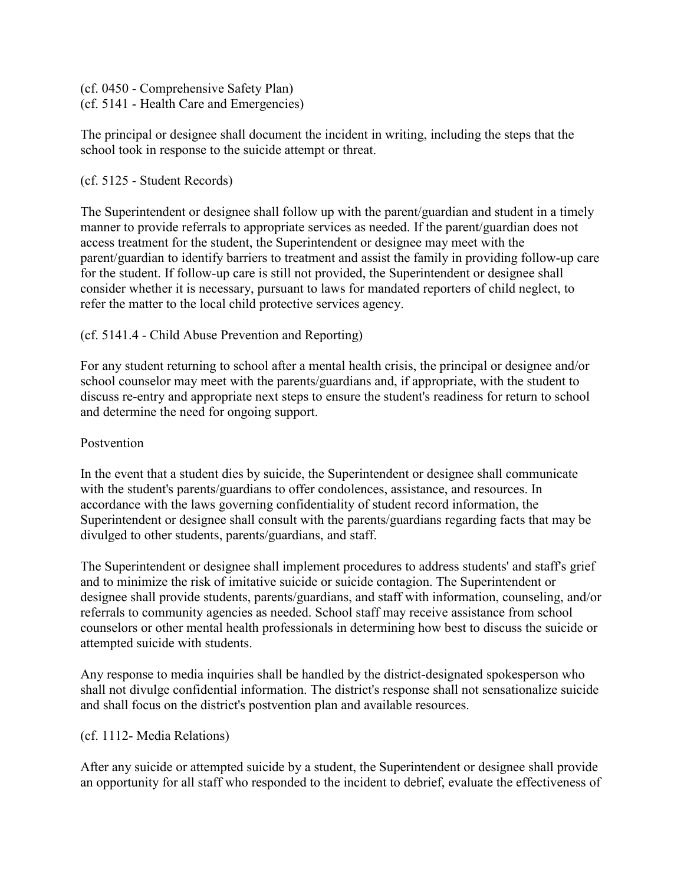(cf. 0450 - Comprehensive Safety Plan) (cf. 5141 - Health Care and Emergencies)

The principal or designee shall document the incident in writing, including the steps that the school took in response to the suicide attempt or threat.

#### (cf. 5125 - Student Records)

The Superintendent or designee shall follow up with the parent/guardian and student in a timely manner to provide referrals to appropriate services as needed. If the parent/guardian does not access treatment for the student, the Superintendent or designee may meet with the parent/guardian to identify barriers to treatment and assist the family in providing follow-up care for the student. If follow-up care is still not provided, the Superintendent or designee shall consider whether it is necessary, pursuant to laws for mandated reporters of child neglect, to refer the matter to the local child protective services agency.

## (cf. 5141.4 - Child Abuse Prevention and Reporting)

For any student returning to school after a mental health crisis, the principal or designee and/or school counselor may meet with the parents/guardians and, if appropriate, with the student to discuss re-entry and appropriate next steps to ensure the student's readiness for return to school and determine the need for ongoing support.

#### Postvention

In the event that a student dies by suicide, the Superintendent or designee shall communicate with the student's parents/guardians to offer condolences, assistance, and resources. In accordance with the laws governing confidentiality of student record information, the Superintendent or designee shall consult with the parents/guardians regarding facts that may be divulged to other students, parents/guardians, and staff.

The Superintendent or designee shall implement procedures to address students' and staff's grief and to minimize the risk of imitative suicide or suicide contagion. The Superintendent or designee shall provide students, parents/guardians, and staff with information, counseling, and/or referrals to community agencies as needed. School staff may receive assistance from school counselors or other mental health professionals in determining how best to discuss the suicide or attempted suicide with students.

Any response to media inquiries shall be handled by the district-designated spokesperson who shall not divulge confidential information. The district's response shall not sensationalize suicide and shall focus on the district's postvention plan and available resources.

## (cf. 1112- Media Relations)

After any suicide or attempted suicide by a student, the Superintendent or designee shall provide an opportunity for all staff who responded to the incident to debrief, evaluate the effectiveness of